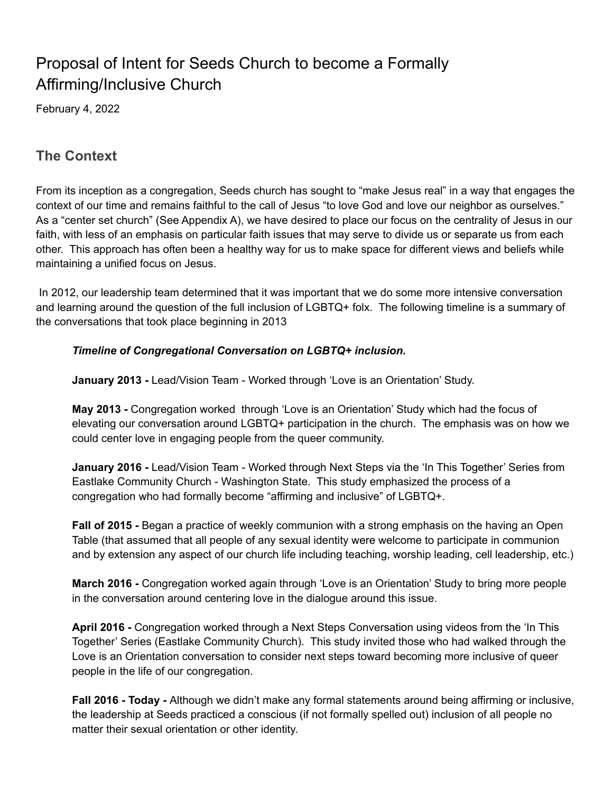# Proposal of Intent for Seeds Church to become a Formally Affirming/Inclusive Church

February 4, 2022

### **The Context**

From its inception as a congregation, Seeds church has sought to "make Jesus real" in a way that engages the context of our time and remains faithful to the call of Jesus "to love God and love our neighbor as ourselves." As a "center set church" (See Appendix A), we have desired to place our focus on the centrality of Jesus in our faith, with less of an emphasis on particular faith issues that may serve to divide us or separate us from each other. This approach has often been a healthy way for us to make space for different views and beliefs while maintaining a unified focus on Jesus.

In 2012, our leadership team determined that it was important that we do some more intensive conversation and learning around the question of the full inclusion of LGBTQ+ folx. The following timeline is a summary of the conversations that took place beginning in 2013

#### *Timeline of Congregational Conversation on LGBTQ+ inclusion.*

**January 2013 -** Lead/Vision Team - Worked through 'Love is an Orientation' Study.

**May 2013 -** Congregation worked through 'Love is an Orientation' Study which had the focus of elevating our conversation around LGBTQ+ participation in the church. The emphasis was on how we could center love in engaging people from the queer community.

**January 2016 -** Lead/Vision Team - Worked through Next Steps via the 'In This Together' Series from Eastlake Community Church - Washington State. This study emphasized the process of a congregation who had formally become "affirming and inclusive" of LGBTQ+.

**Fall of 2015 -** Began a practice of weekly communion with a strong emphasis on the having an Open Table (that assumed that all people of any sexual identity were welcome to participate in communion and by extension any aspect of our church life including teaching, worship leading, cell leadership, etc.)

**March 2016 -** Congregation worked again through 'Love is an Orientation' Study to bring more people in the conversation around centering love in the dialogue around this issue.

**April 2016 -** Congregation worked through a Next Steps Conversation using videos from the 'In This Together' Series (Eastlake Community Church). This study invited those who had walked through the Love is an Orientation conversation to consider next steps toward becoming more inclusive of queer people in the life of our congregation.

**Fall 2016 - Today -** Although we didn't make any formal statements around being affirming or inclusive, the leadership at Seeds practiced a conscious (if not formally spelled out) inclusion of all people no matter their sexual orientation or other identity.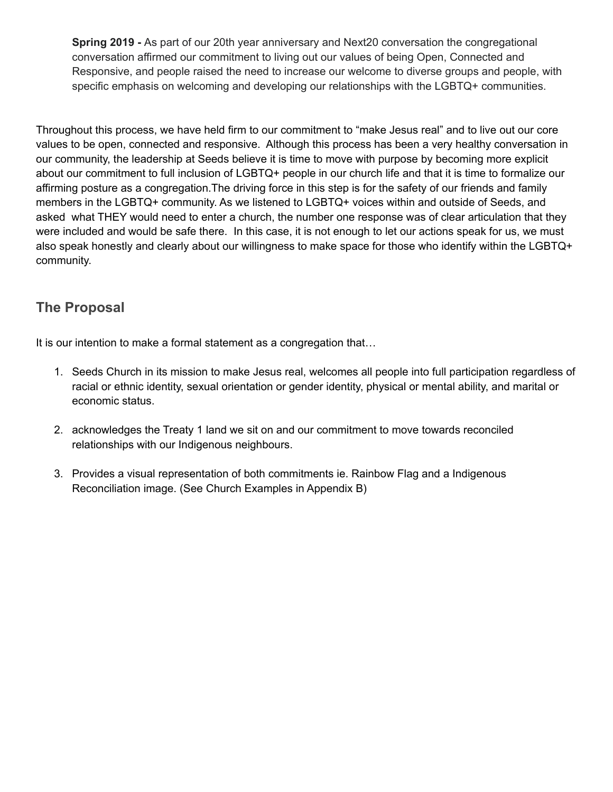**Spring 2019 -** As part of our 20th year anniversary and Next20 conversation the congregational conversation affirmed our commitment to living out our values of being Open, Connected and Responsive, and people raised the need to increase our welcome to diverse groups and people, with specific emphasis on welcoming and developing our relationships with the LGBTQ+ communities.

Throughout this process, we have held firm to our commitment to "make Jesus real" and to live out our core values to be open, connected and responsive. Although this process has been a very healthy conversation in our community, the leadership at Seeds believe it is time to move with purpose by becoming more explicit about our commitment to full inclusion of LGBTQ+ people in our church life and that it is time to formalize our affirming posture as a congregation.The driving force in this step is for the safety of our friends and family members in the LGBTQ+ community. As we listened to LGBTQ+ voices within and outside of Seeds, and asked what THEY would need to enter a church, the number one response was of clear articulation that they were included and would be safe there. In this case, it is not enough to let our actions speak for us, we must also speak honestly and clearly about our willingness to make space for those who identify within the LGBTQ+ community.

# **The Proposal**

It is our intention to make a formal statement as a congregation that...

- 1. Seeds Church in its mission to make Jesus real, welcomes all people into full participation regardless of racial or ethnic identity, sexual orientation or gender identity, physical or mental ability, and marital or economic status.
- 2. acknowledges the Treaty 1 land we sit on and our commitment to move towards reconciled relationships with our Indigenous neighbours.
- 3. Provides a visual representation of both commitments ie. Rainbow Flag and a Indigenous Reconciliation image. (See Church Examples in Appendix B)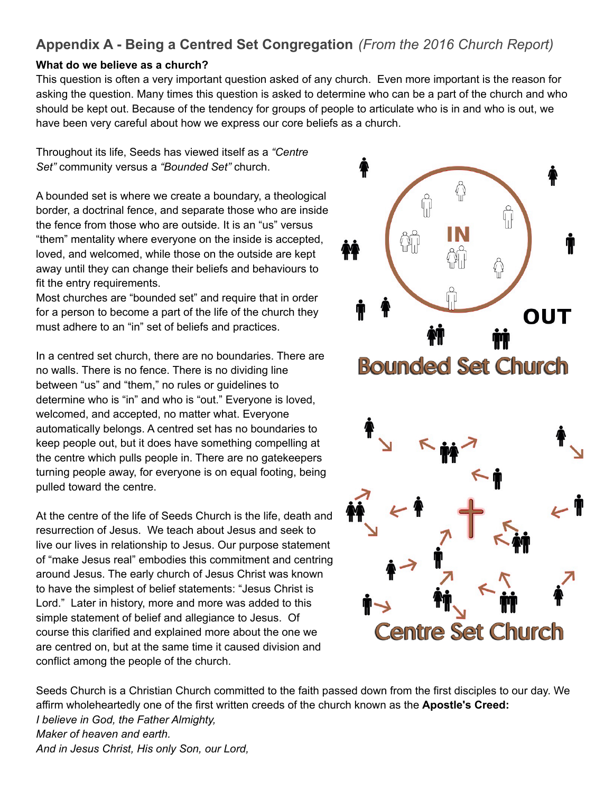# **Appendix A - Being a Centred Set Congregation** *(From the 2016 Church Report)*

### **What do we believe as a church?**

This question is often a very important question asked of any church. Even more important is the reason for asking the question. Many times this question is asked to determine who can be a part of the church and who should be kept out. Because of the tendency for groups of people to articulate who is in and who is out, we have been very careful about how we express our core beliefs as a church.

Throughout its life, Seeds has viewed itself as a *"Centre Set"* community versus a *"Bounded Set"* church.

A bounded set is where we create a boundary, a theological border, a doctrinal fence, and separate those who are inside the fence from those who are outside. It is an "us" versus "them" mentality where everyone on the inside is accepted, loved, and welcomed, while those on the outside are kept away until they can change their beliefs and behaviours to fit the entry requirements.

Most churches are "bounded set" and require that in order for a person to become a part of the life of the church they must adhere to an "in" set of beliefs and practices.

In a centred set church, there are no boundaries. There are no walls. There is no fence. There is no dividing line between "us" and "them," no rules or guidelines to determine who is "in" and who is "out." Everyone is loved, welcomed, and accepted, no matter what. Everyone automatically belongs. A centred set has no boundaries to keep people out, but it does have something compelling at the centre which pulls people in. There are no gatekeepers turning people away, for everyone is on equal footing, being pulled toward the centre.

At the centre of the life of Seeds Church is the life, death and resurrection of Jesus. We teach about Jesus and seek to live our lives in relationship to Jesus. Our purpose statement of "make Jesus real" embodies this commitment and centring around Jesus. The early church of Jesus Christ was known to have the simplest of belief statements: "Jesus Christ is Lord." Later in history, more and more was added to this simple statement of belief and allegiance to Jesus. Of course this clarified and explained more about the one we are centred on, but at the same time it caused division and conflict among the people of the church.



Seeds Church is a Christian Church committed to the faith passed down from the first disciples to our day. We affirm wholeheartedly one of the first written creeds of the church known as the **Apostle's Creed:** *I believe in God, the Father Almighty, Maker of heaven and earth. And in Jesus Christ, His only Son, our Lord,*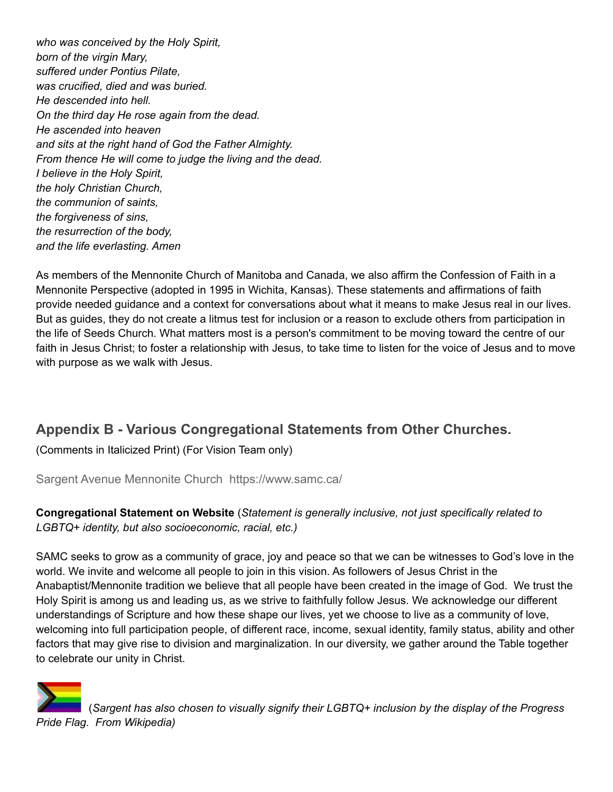*who was conceived by the Holy Spirit, born of the virgin Mary, suffered under Pontius Pilate, was crucified, died and was buried. He descended into hell. On the third day He rose again from the dead. He ascended into heaven and sits at the right hand of God the Father Almighty. From thence He will come to judge the living and the dead. I believe in the Holy Spirit, the holy Christian Church, the communion of saints, the forgiveness of sins, the resurrection of the body, and the life everlasting. Amen*

As members of the Mennonite Church of Manitoba and Canada, we also affirm the Confession of Faith in a Mennonite Perspective (adopted in 1995 in Wichita, Kansas). These statements and affirmations of faith provide needed guidance and a context for conversations about what it means to make Jesus real in our lives. But as guides, they do not create a litmus test for inclusion or a reason to exclude others from participation in the life of Seeds Church. What matters most is a person's commitment to be moving toward the centre of our faith in Jesus Christ; to foster a relationship with Jesus, to take time to listen for the voice of Jesus and to move with purpose as we walk with Jesus.

# **Appendix B - Various Congregational Statements from Other Churches.**

(Comments in Italicized Print) (For Vision Team only)

Sargent Avenue Mennonite Church https://www.samc.ca/

**Congregational Statement on Website** (*Statement is generally inclusive, not just specifically related to LGBTQ+ identity, but also socioeconomic, racial, etc.)*

SAMC seeks to grow as a community of grace, joy and peace so that we can be witnesses to God's love in the world. We invite and welcome all people to join in this vision. As followers of Jesus Christ in the Anabaptist/Mennonite tradition we believe that all people have been created in the image of God. We trust the Holy Spirit is among us and leading us, as we strive to faithfully follow Jesus. We acknowledge our different understandings of Scripture and how these shape our lives, yet we choose to live as a community of love, welcoming into full participation people, of different race, income, sexual identity, family status, ability and other factors that may give rise to division and marginalization. In our diversity, we gather around the Table together to celebrate our unity in Christ.



(*Sargent has also chosen to visually signify their LGBTQ+ inclusion by the display of the Progress Pride Flag. From Wikipedia)*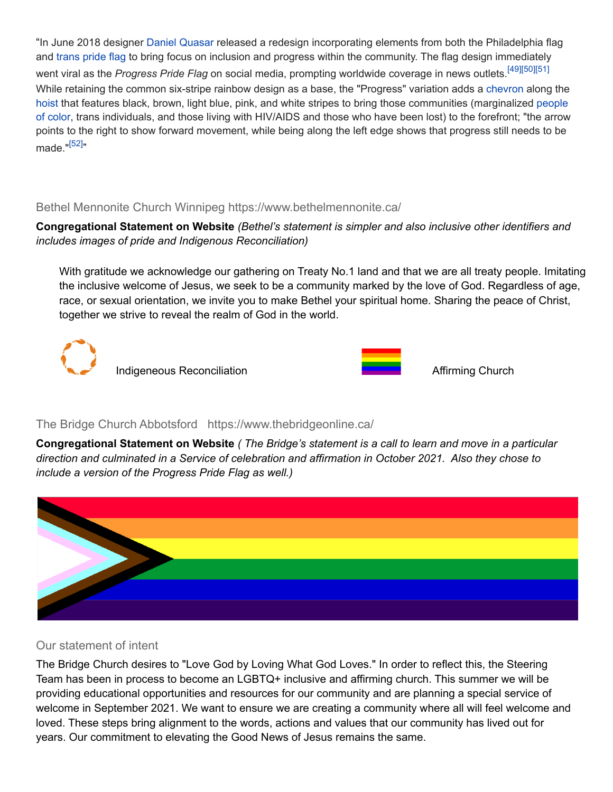"In June 2018 designer [Daniel Quasar](https://en.wikipedia.org/wiki/Daniel_Quasar) released a redesign incorporating elements from both the Philadelphia flag and [trans pride flag](https://en.wikipedia.org/wiki/Transgender_flags) to bring focus on inclusion and progress within the community. The flag design immediately went viral as the *Progress Pride Flag* on social media, prompting worldwide coverage in news outlets.<sup>[\[49\]](https://en.wikipedia.org/wiki/Rainbow_flag_(LGBT)#cite_note-49)[\[50\]](https://en.wikipedia.org/wiki/Rainbow_flag_(LGBT)#cite_note-50)[\[51\]](https://en.wikipedia.org/wiki/Rainbow_flag_(LGBT)#cite_note-51)</sup> While retaining the common six-stripe rainbow design as a base, the "Progress" variation adds a [chevron](https://en.wikipedia.org/wiki/Chevron_(insignia)) along the [hoist](https://en.wikipedia.org/wiki/Hoist_(flag)) that features black, brown, light blue, pink, and white stripes to bring those communities (marginalized [people](https://en.wikipedia.org/wiki/People_of_color) [of color](https://en.wikipedia.org/wiki/People_of_color), trans individuals, and those living with HIV/AIDS and those who have been lost) to the forefront; "the arrow points to the right to show forward movement, while being along the left edge shows that progress still needs to be made."<sup>[\[52\]](https://en.wikipedia.org/wiki/Rainbow_flag_(LGBT)#cite_note-52)</sup>"

### Bethel Mennonite Church Winnipeg https://www.bethelmennonite.ca/

### **Congregational Statement on Website** *(Bethel's statement is simpler and also inclusive other identifiers and includes images of pride and Indigenous Reconciliation)*

With gratitude we acknowledge our gathering on Treaty No.1 land and that we are all treaty people. Imitating the inclusive welcome of Jesus, we seek to be a community marked by the love of God. Regardless of age, race, or sexual orientation, we invite you to make Bethel your spiritual home. Sharing the peace of Christ, together we strive to reveal the realm of God in the world.





### The Bridge Church Abbotsford https://www.thebridgeonline.ca/

Congregational Statement on Website (The Bridge's statement is a call to learn and move in a particular *direction and culminated in a Service of celebration and affirmation in October 2021. Also they chose to include a version of the Progress Pride Flag as well.)*



### Our statement of intent

The Bridge Church desires to "Love God by Loving What God Loves." In order to reflect this, the Steering Team has been in process to become an LGBTQ+ inclusive and affirming church. This summer we will be providing educational opportunities and resources for our community and are planning a special service of welcome in September 2021. We want to ensure we are creating a community where all will feel welcome and loved. These steps bring alignment to the words, actions and values that our community has lived out for years. Our commitment to elevating the Good News of Jesus remains the same.